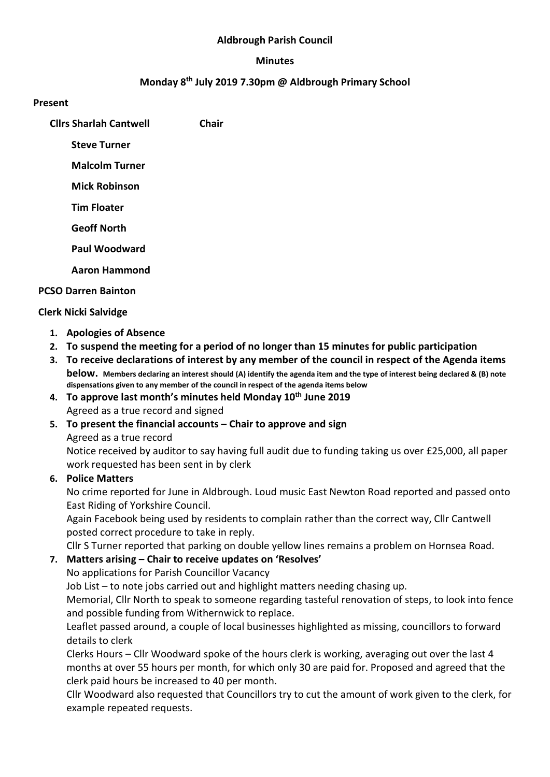### Aldbrough Parish Council

#### Minutes

## Monday 8th July 2019 7.30pm @ Aldbrough Primary School

#### Present

Cllrs Sharlah Cantwell Chair

Steve Turner

Malcolm Turner

Mick Robinson

Tim Floater

Geoff North

Paul Woodward

Aaron Hammond

## PCSO Darren Bainton

## Clerk Nicki Salvidge

- 1. Apologies of Absence
- 2. To suspend the meeting for a period of no longer than 15 minutes for public participation
- 3. To receive declarations of interest by any member of the council in respect of the Agenda items below. Members declaring an interest should (A) identify the agenda item and the type of interest being declared & (B) note dispensations given to any member of the council in respect of the agenda items below
- 4. To approve last month's minutes held Monday 10<sup>th</sup> June 2019 Agreed as a true record and signed
- 5. To present the financial accounts Chair to approve and sign

Agreed as a true record

Notice received by auditor to say having full audit due to funding taking us over £25,000, all paper work requested has been sent in by clerk

# 6. Police Matters

No crime reported for June in Aldbrough. Loud music East Newton Road reported and passed onto East Riding of Yorkshire Council.

Again Facebook being used by residents to complain rather than the correct way, Cllr Cantwell posted correct procedure to take in reply.

Cllr S Turner reported that parking on double yellow lines remains a problem on Hornsea Road.

# 7. Matters arising – Chair to receive updates on 'Resolves'

No applications for Parish Councillor Vacancy

Job List – to note jobs carried out and highlight matters needing chasing up.

Memorial, Cllr North to speak to someone regarding tasteful renovation of steps, to look into fence and possible funding from Withernwick to replace.

Leaflet passed around, a couple of local businesses highlighted as missing, councillors to forward details to clerk

Clerks Hours – Cllr Woodward spoke of the hours clerk is working, averaging out over the last 4 months at over 55 hours per month, for which only 30 are paid for. Proposed and agreed that the clerk paid hours be increased to 40 per month.

Cllr Woodward also requested that Councillors try to cut the amount of work given to the clerk, for example repeated requests.